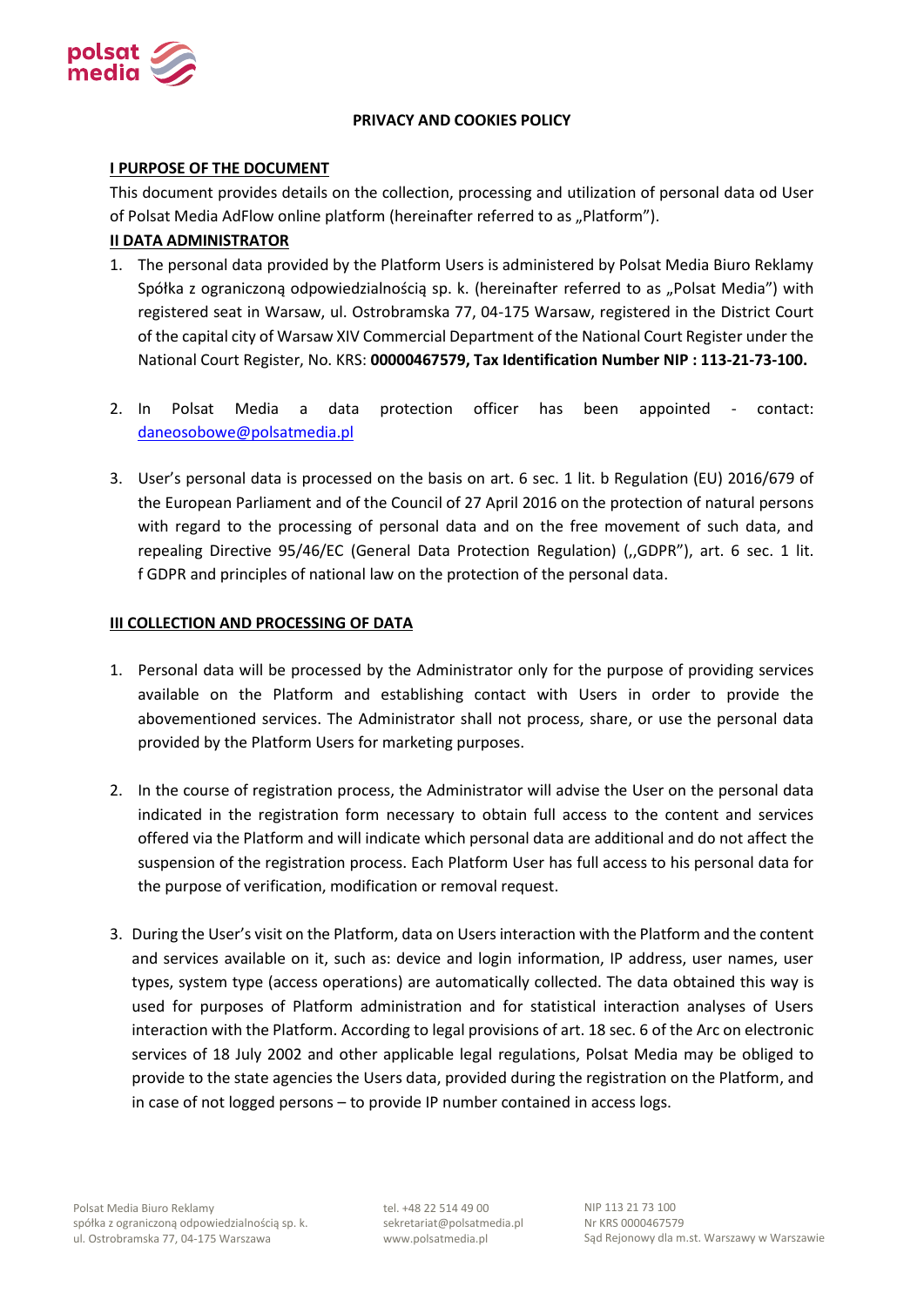

# **PRIVACY AND COOKIES POLICY**

## **I PURPOSE OF THE DOCUMENT**

This document provides details on the collection, processing and utilization of personal data od User of Polsat Media AdFlow online platform (hereinafter referred to as "Platform").

# **II DATA ADMINISTRATOR**

- 1. The personal data provided by the Platform Users is administered by Polsat Media Biuro Reklamy Spółka z ograniczoną odpowiedzialnością sp. k. (hereinafter referred to as "Polsat Media") with registered seat in Warsaw, ul. Ostrobramska 77, 04-175 Warsaw, registered in the District Court of the capital city of Warsaw XIV Commercial Department of the National Court Register under the National Court Register, No. KRS: **00000467579, Tax Identification Number NIP : 113-21-73-100.**
- 2. In Polsat Media a data protection officer has been appointed contact: [daneosobowe@polsatmedia.pl](mailto:daneosobowe@polsatmedia.pl)
- 3. User's personal data is processed on the basis on art. 6 sec. 1 lit. b Regulation (EU) 2016/679 of the European Parliament and of the Council of 27 April 2016 on the protection of natural persons with regard to the processing of personal data and on the free movement of such data, and repealing Directive 95/46/EC (General Data Protection Regulation) (,,GDPR"), art. 6 sec. 1 lit. f GDPR and principles of national law on the protection of the personal data.

## **III COLLECTION AND PROCESSING OF DATA**

- 1. Personal data will be processed by the Administrator only for the purpose of providing services available on the Platform and establishing contact with Users in order to provide the abovementioned services. The Administrator shall not process, share, or use the personal data provided by the Platform Users for marketing purposes.
- 2. In the course of registration process, the Administrator will advise the User on the personal data indicated in the registration form necessary to obtain full access to the content and services offered via the Platform and will indicate which personal data are additional and do not affect the suspension of the registration process. Each Platform User has full access to his personal data for the purpose of verification, modification or removal request.
- 3. During the User's visit on the Platform, data on Users interaction with the Platform and the content and services available on it, such as: device and login information, IP address, user names, user types, system type (access operations) are automatically collected. The data obtained this way is used for purposes of Platform administration and for statistical interaction analyses of Users interaction with the Platform. According to legal provisions of art. 18 sec. 6 of the Arc on electronic services of 18 July 2002 and other applicable legal regulations, Polsat Media may be obliged to provide to the state agencies the Users data, provided during the registration on the Platform, and in case of not logged persons – to provide IP number contained in access logs.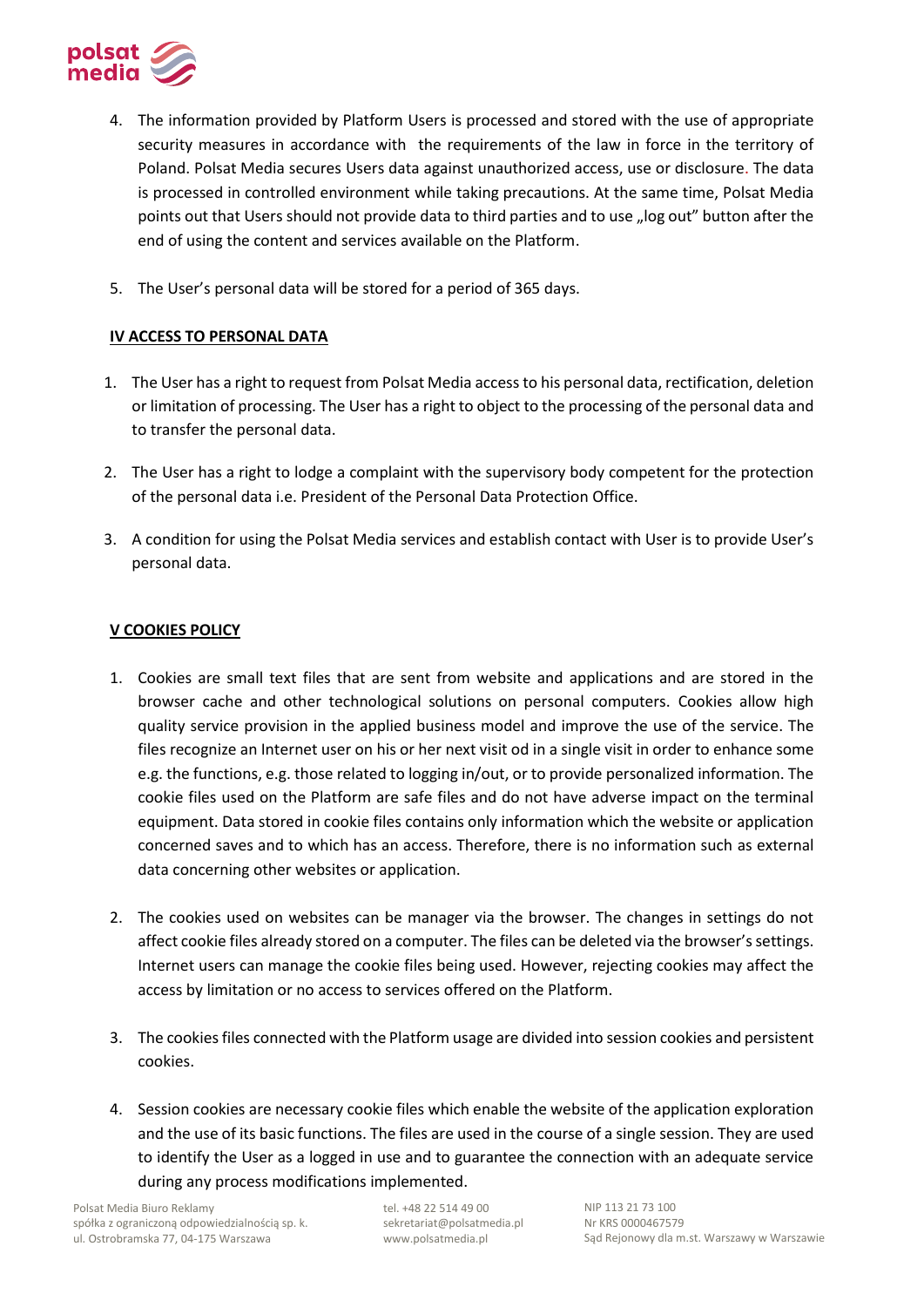

- 4. The information provided by Platform Users is processed and stored with the use of appropriate security measures in accordance with the requirements of the law in force in the territory of Poland. Polsat Media secures Users data against unauthorized access, use or disclosure. The data is processed in controlled environment while taking precautions. At the same time, Polsat Media points out that Users should not provide data to third parties and to use "log out" button after the end of using the content and services available on the Platform.
- 5. The User's personal data will be stored for a period of 365 days.

# **IV ACCESS TO PERSONAL DATA**

- 1. The User has a right to request from Polsat Media access to his personal data, rectification, deletion or limitation of processing. The User has a right to object to the processing of the personal data and to transfer the personal data.
- 2. The User has a right to lodge a complaint with the supervisory body competent for the protection of the personal data i.e. President of the Personal Data Protection Office.
- 3. A condition for using the Polsat Media services and establish contact with User is to provide User's personal data.

# **V COOKIES POLICY**

- 1. Cookies are small text files that are sent from website and applications and are stored in the browser cache and other technological solutions on personal computers. Cookies allow high quality service provision in the applied business model and improve the use of the service. The files recognize an Internet user on his or her next visit od in a single visit in order to enhance some e.g. the functions, e.g. those related to logging in/out, or to provide personalized information. The cookie files used on the Platform are safe files and do not have adverse impact on the terminal equipment. Data stored in cookie files contains only information which the website or application concerned saves and to which has an access. Therefore, there is no information such as external data concerning other websites or application.
- 2. The cookies used on websites can be manager via the browser. The changes in settings do not affect cookie files already stored on a computer. The files can be deleted via the browser's settings. Internet users can manage the cookie files being used. However, rejecting cookies may affect the access by limitation or no access to services offered on the Platform.
- 3. The cookies files connected with the Platform usage are divided into session cookies and persistent cookies.
- 4. Session cookies are necessary cookie files which enable the website of the application exploration and the use of its basic functions. The files are used in the course of a single session. They are used to identify the User as a logged in use and to guarantee the connection with an adequate service during any process modifications implemented.